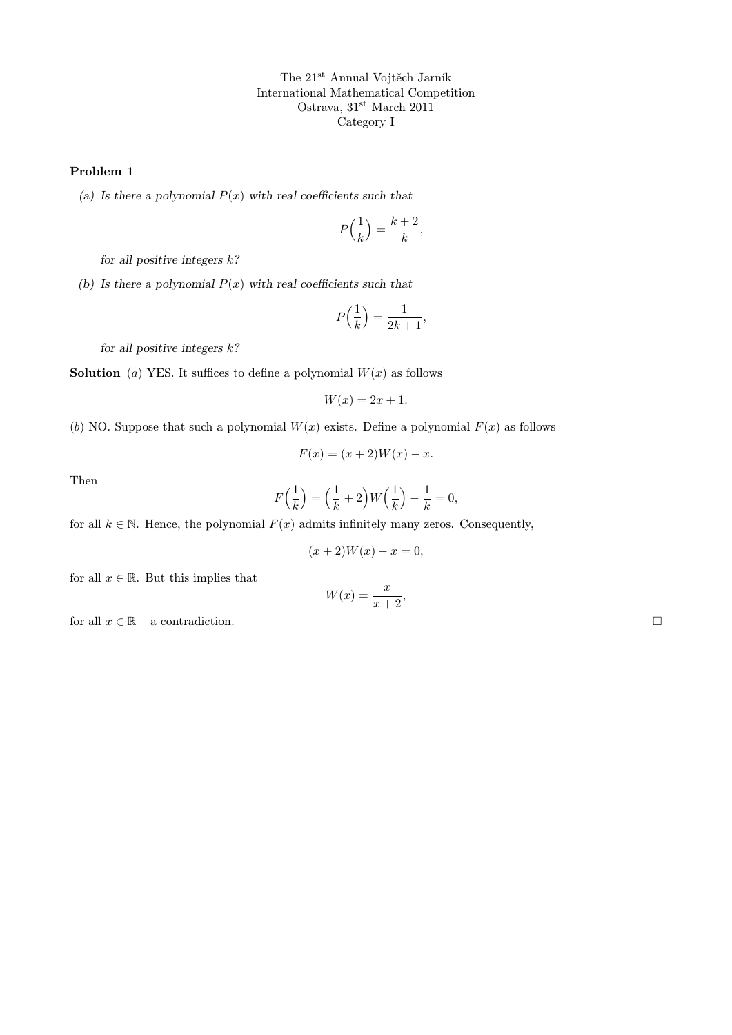The 21st Annual Vojtěch Jarník International Mathematical Competition Ostrava, 31<sup>st</sup> March 2011 Category I

## Problem 1

(a) Is there a polynomial  $P(x)$  with real coefficients such that

$$
P\Big(\frac{1}{k}\Big)=\frac{k+2}{k},
$$

for all positive integers  $k$ ?

(b) Is there a polynomial  $P(x)$  with real coefficients such that

$$
P\left(\frac{1}{k}\right) = \frac{1}{2k+1},
$$

for all positive integers  $k$ ?

**Solution** (a) YES. It suffices to define a polynomial  $W(x)$  as follows

$$
W(x) = 2x + 1.
$$

(b) NO. Suppose that such a polynomial  $W(x)$  exists. Define a polynomial  $F(x)$  as follows

$$
F(x) = (x+2)W(x) - x.
$$

Then

$$
F\left(\frac{1}{k}\right) = \left(\frac{1}{k} + 2\right)W\left(\frac{1}{k}\right) - \frac{1}{k} = 0,
$$

for all  $k \in \mathbb{N}$ . Hence, the polynomial  $F(x)$  admits infinitely many zeros. Consequently,

$$
(x+2)W(x) - x = 0,
$$

for all  $x \in \mathbb{R}$ . But this implies that

$$
W(x) = \frac{x}{x+2},
$$

for all  $x \in \mathbb{R}$  – a contradiction.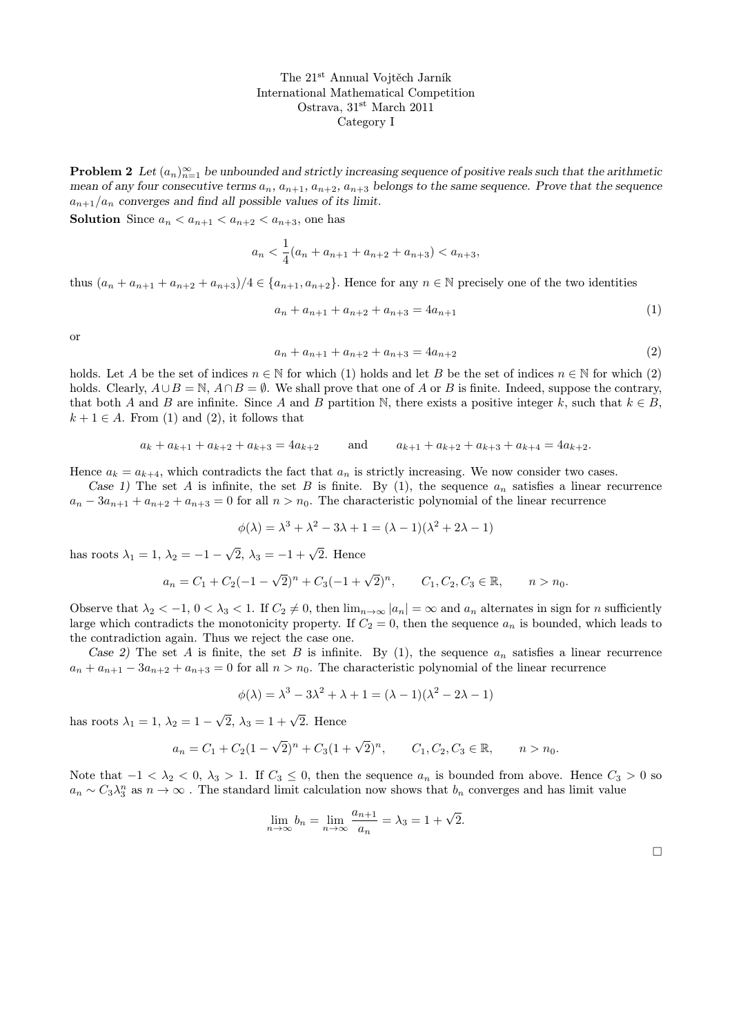The 21st Annual Vojtěch Jarník International Mathematical Competition Ostrava, 31st March 2011 Category I

**Problem 2** Let  $(a_n)_{n=1}^{\infty}$  be unbounded and strictly increasing sequence of positive reals such that the arithmetic mean of any four consecutive terms  $a_n$ ,  $a_{n+1}$ ,  $a_{n+2}$ ,  $a_{n+3}$  belongs to the same sequence. Prove that the sequence  $a_{n+1}/a_n$  converges and find all possible values of its limit.

**Solution** Since  $a_n < a_{n+1} < a_{n+2} < a_{n+3}$ , one has

$$
a_n < \frac{1}{4}(a_n + a_{n+1} + a_{n+2} + a_{n+3}) < a_{n+3},
$$

thus  $(a_n + a_{n+1} + a_{n+2} + a_{n+3})/4 \in \{a_{n+1}, a_{n+2}\}.$  Hence for any  $n \in \mathbb{N}$  precisely one of the two identities

$$
a_n + a_{n+1} + a_{n+2} + a_{n+3} = 4a_{n+1}
$$
\n<sup>(1)</sup>

or

$$
a_n + a_{n+1} + a_{n+2} + a_{n+3} = 4a_{n+2}
$$
\n<sup>(2)</sup>

holds. Let A be the set of indices  $n \in \mathbb{N}$  for which (1) holds and let B be the set of indices  $n \in \mathbb{N}$  for which (2) holds. Clearly,  $A \cup B = \mathbb{N}$ ,  $A \cap B = \emptyset$ . We shall prove that one of A or B is finite. Indeed, suppose the contrary, that both A and B are infinite. Since A and B partition N, there exists a positive integer k, such that  $k \in B$ ,  $k + 1 \in A$ . From (1) and (2), it follows that

$$
a_k + a_{k+1} + a_{k+2} + a_{k+3} = 4a_{k+2} \qquad \text{and} \qquad a_{k+1} + a_{k+2} + a_{k+3} + a_{k+4} = 4a_{k+2}.
$$

Hence  $a_k = a_{k+4}$ , which contradicts the fact that  $a_n$  is strictly increasing. We now consider two cases.

Case 1) The set A is infinite, the set B is finite. By (1), the sequence  $a_n$  satisfies a linear recurrence  $a_n - 3a_{n+1} + a_{n+2} + a_{n+3} = 0$  for all  $n > n_0$ . The characteristic polynomial of the linear recurrence

$$
\phi(\lambda) = \lambda^3 + \lambda^2 - 3\lambda + 1 = (\lambda - 1)(\lambda^2 + 2\lambda - 1)
$$

has roots  $\lambda_1 = 1, \lambda_2 = -1$  –  $\sqrt{2}$ ,  $\lambda_3 = -1 + \sqrt{2}$ . Hence

$$
a_n = C_1 + C_2(-1 - \sqrt{2})^n + C_3(-1 + \sqrt{2})^n, \qquad C_1, C_2, C_3 \in \mathbb{R}, \qquad n > n_0.
$$

Observe that  $\lambda_2 < -1$ ,  $0 < \lambda_3 < 1$ . If  $C_2 \neq 0$ , then  $\lim_{n\to\infty} |a_n| = \infty$  and  $a_n$  alternates in sign for n sufficiently large which contradicts the monotonicity property. If  $C_2 = 0$ , then the sequence  $a_n$  is bounded, which leads to the contradiction again. Thus we reject the case one.

Case 2) The set A is finite, the set B is infinite. By (1), the sequence  $a_n$  satisfies a linear recurrence  $a_n + a_{n+1} - 3a_{n+2} + a_{n+3} = 0$  for all  $n > n_0$ . The characteristic polynomial of the linear recurrence

$$
\phi(\lambda) = \lambda^3 - 3\lambda^2 + \lambda + 1 = (\lambda - 1)(\lambda^2 - 2\lambda - 1)
$$

has roots  $\lambda_1 = 1, \lambda_2 = 1$  –  $\sqrt{2}$ ,  $\lambda_3 = 1 + \sqrt{2}$ . Hence

$$
a_n = C_1 + C_2(1 - \sqrt{2})^n + C_3(1 + \sqrt{2})^n, \qquad C_1, C_2, C_3 \in \mathbb{R}, \qquad n > n_0.
$$

Note that  $-1 < \lambda_2 < 0$ ,  $\lambda_3 > 1$ . If  $C_3 \leq 0$ , then the sequence  $a_n$  is bounded from above. Hence  $C_3 > 0$  so  $a_n \sim C_3 \lambda_3^n$  as  $n \to \infty$ . The standard limit calculation now shows that  $b_n$  converges and has limit value

$$
\lim_{n \to \infty} b_n = \lim_{n \to \infty} \frac{a_{n+1}}{a_n} = \lambda_3 = 1 + \sqrt{2}.
$$

 $\Box$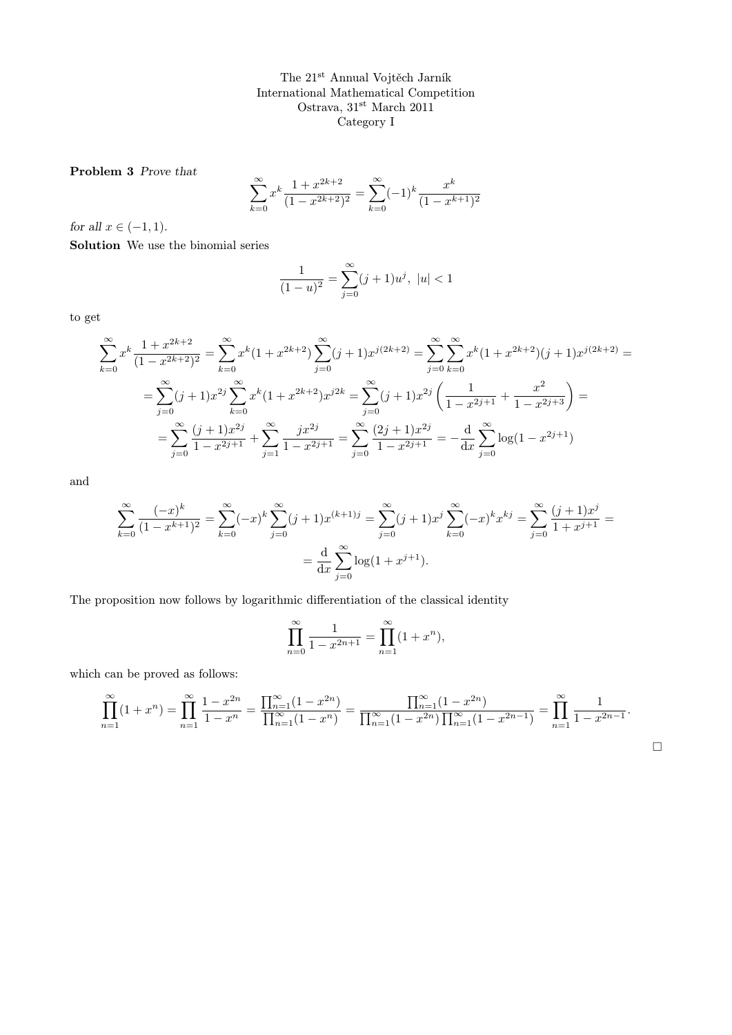The 21st Annual Vojtěch Jarník International Mathematical Competition Ostrava, $31^{\rm st}$ March $2011$ Category I

Problem 3 Prove that

$$
\sum_{k=0}^{\infty} x^k \frac{1 + x^{2k+2}}{(1 - x^{2k+2})^2} = \sum_{k=0}^{\infty} (-1)^k \frac{x^k}{(1 - x^{k+1})^2}
$$

for all  $x \in (-1, 1)$ .

Solution We use the binomial series

$$
\frac{1}{(1-u)^2} = \sum_{j=0}^{\infty} (j+1)u^j, \ |u| < 1
$$

to get

$$
\sum_{k=0}^{\infty} x^k \frac{1 + x^{2k+2}}{(1 - x^{2k+2})^2} = \sum_{k=0}^{\infty} x^k (1 + x^{2k+2}) \sum_{j=0}^{\infty} (j+1) x^{j(2k+2)} = \sum_{j=0}^{\infty} \sum_{k=0}^{\infty} x^k (1 + x^{2k+2}) (j+1) x^{j(2k+2)} =
$$
  

$$
= \sum_{j=0}^{\infty} (j+1) x^{2j} \sum_{k=0}^{\infty} x^k (1 + x^{2k+2}) x^{j2k} = \sum_{j=0}^{\infty} (j+1) x^{2j} \left( \frac{1}{1 - x^{2j+1}} + \frac{x^2}{1 - x^{2j+3}} \right) =
$$
  

$$
= \sum_{j=0}^{\infty} \frac{(j+1) x^{2j}}{1 - x^{2j+1}} + \sum_{j=1}^{\infty} \frac{j x^{2j}}{1 - x^{2j+1}} = \sum_{j=0}^{\infty} \frac{(2j+1) x^{2j}}{1 - x^{2j+1}} = -\frac{d}{dx} \sum_{j=0}^{\infty} \log(1 - x^{2j+1})
$$

and

$$
\sum_{k=0}^{\infty} \frac{(-x)^k}{(1-x^{k+1})^2} = \sum_{k=0}^{\infty} (-x)^k \sum_{j=0}^{\infty} (j+1)x^{(k+1)j} = \sum_{j=0}^{\infty} (j+1)x^j \sum_{k=0}^{\infty} (-x)^k x^{kj} = \sum_{j=0}^{\infty} \frac{(j+1)x^j}{1+x^{j+1}} = \frac{d}{dx} \sum_{j=0}^{\infty} \log(1+x^{j+1}).
$$

The proposition now follows by logarithmic differentiation of the classical identity

$$
\prod_{n=0}^{\infty} \frac{1}{1 - x^{2n+1}} = \prod_{n=1}^{\infty} (1 + x^n),
$$

which can be proved as follows:

$$
\prod_{n=1}^{\infty} (1+x^n) = \prod_{n=1}^{\infty} \frac{1-x^{2n}}{1-x^n} = \frac{\prod_{n=1}^{\infty} (1-x^{2n})}{\prod_{n=1}^{\infty} (1-x^n)} = \frac{\prod_{n=1}^{\infty} (1-x^{2n})}{\prod_{n=1}^{\infty} (1-x^{2n}) \prod_{n=1}^{\infty} (1-x^{2n-1})} = \prod_{n=1}^{\infty} \frac{1}{1-x^{2n-1}}.
$$

 $\Box$